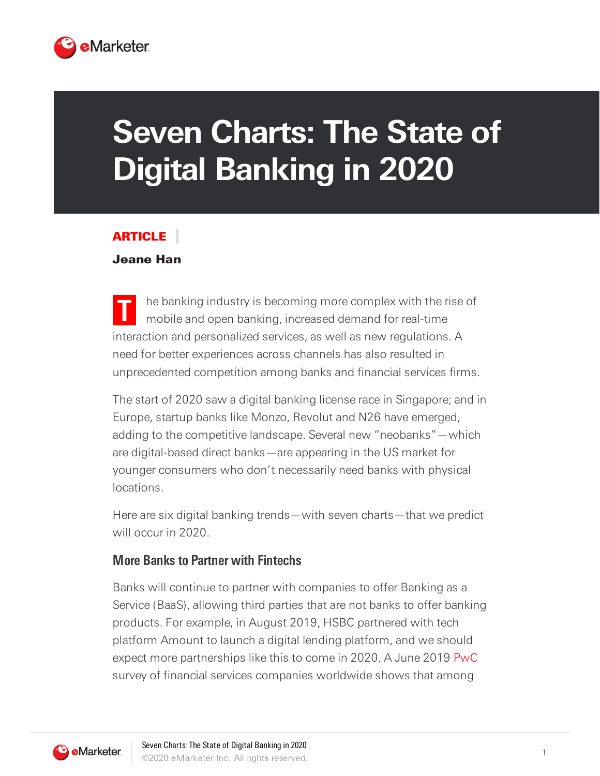

# **Seven Charts: The State of Digital Banking in 2020**

# ARTICLE

#### Jeane Han

**T** he banking industry is becoming more complex with the rise of mobile and open banking, increased demand for real-time interaction and personalized services, as well as new regulations. A need for better experiences across channels has also resulted in unprecedented competition among banks and financial services firms.

The start of 2020 saw a digital banking license race in Singapore; and in Europe, startup banks like Monzo, Revolut and N26 have emerged, adding to the competitive landscape. Several new "neobanks"—which are digital-based direct banks—are appearing in the US market for younger consumers who don't necessarily need banks with physical locations.

Here are six digital banking trends—with seven charts—that we predict will occur in 2020.

### **More Banks to Partner with Fintechs**

Banks will continue to partner with companies to offer Banking as a Service (BaaS), allowing third parties that are not banks to offer banking products. For example, in August 2019, HSBC partnered with tech platform Amount to launch a digital lending platform, and we should expect more partnerships like this to come in 2020. A June 2019 [PwC](https://www.pwc.com/) survey of financial services companies worldwide shows that among

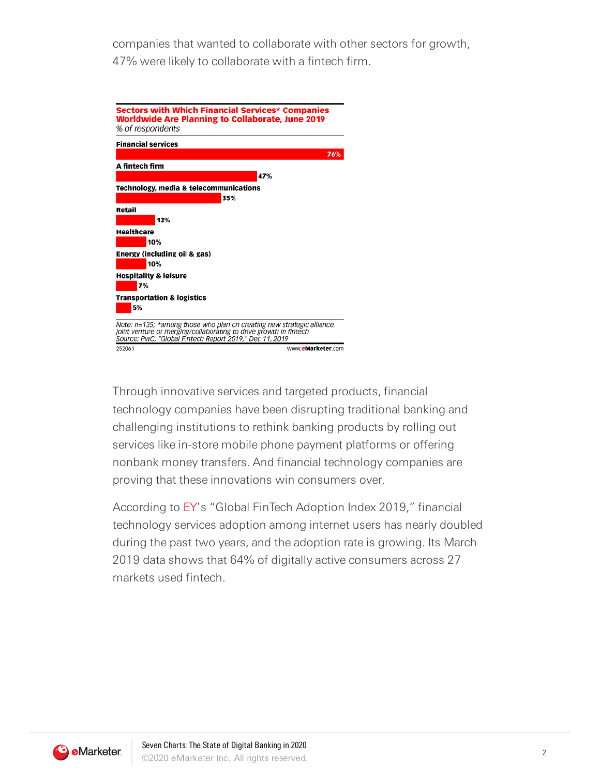companies that wanted to collaborate with other sectors for growth, 47% were likely to collaborate with a fintech firm.

| A fintech firm<br>47%<br>Technology, media & telecommunications<br>35%<br>Retail<br>13%<br><b>Healthcare</b><br>10%<br>Energy (including oil & gas)<br>10%<br><b>Hospitality &amp; leisure</b><br>7%<br><b>Transportation &amp; logistics</b><br>5% | <b>Financial services</b> |     |
|-----------------------------------------------------------------------------------------------------------------------------------------------------------------------------------------------------------------------------------------------------|---------------------------|-----|
|                                                                                                                                                                                                                                                     |                           | 76% |
|                                                                                                                                                                                                                                                     |                           |     |
|                                                                                                                                                                                                                                                     |                           |     |
|                                                                                                                                                                                                                                                     |                           |     |
|                                                                                                                                                                                                                                                     |                           |     |
|                                                                                                                                                                                                                                                     |                           |     |
|                                                                                                                                                                                                                                                     |                           |     |
|                                                                                                                                                                                                                                                     |                           |     |
|                                                                                                                                                                                                                                                     |                           |     |
|                                                                                                                                                                                                                                                     |                           |     |
|                                                                                                                                                                                                                                                     |                           |     |
| Note: n=135; *among those who plan on creating new strategic alliance,                                                                                                                                                                              |                           |     |
|                                                                                                                                                                                                                                                     |                           |     |
|                                                                                                                                                                                                                                                     |                           |     |
|                                                                                                                                                                                                                                                     |                           |     |
| joint venture or merging/collaborating to drive growth in fintech<br>Source: PwC, "Global Fintech Report 2019," Dec 11, 2019                                                                                                                        |                           |     |
|                                                                                                                                                                                                                                                     |                           |     |

Through innovative services and targeted products, financial technology companies have been disrupting traditional banking and challenging institutions to rethink banking products by rolling out services like in-store mobile phone payment platforms or offering nonbank money transfers. And financial technology companies are proving that these innovations win consumers over.

According to [EY'](https://www.ey.com/en_gl)s "Global FinTech Adoption Index 2019," financial technology services adoption among internet users has nearly doubled during the past two years, and the adoption rate is growing. Its March 2019 data shows that 64% of digitally active consumers across 27 markets used fintech.

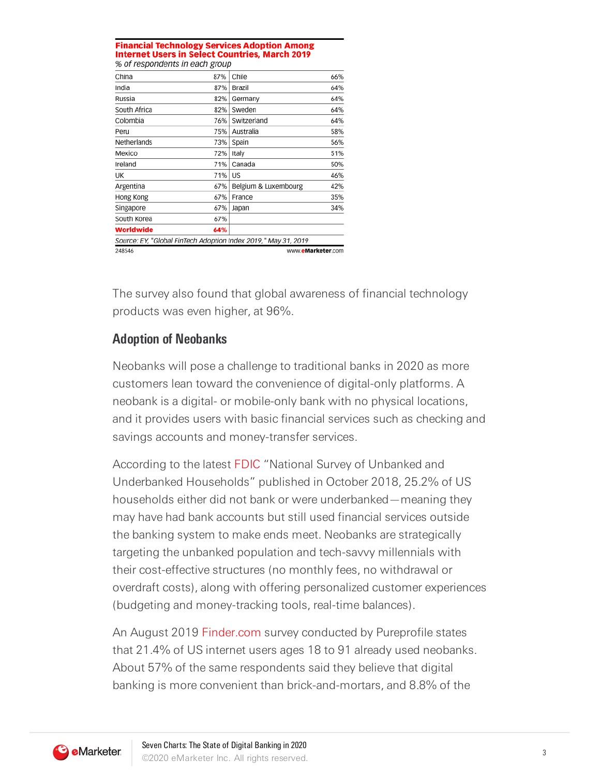|                                |     | <b>Financial Technology Services Adoption Among</b><br>Internet Users in Select Countries, March 2019 |     |
|--------------------------------|-----|-------------------------------------------------------------------------------------------------------|-----|
| % of respondents in each group |     |                                                                                                       |     |
| China                          | 87% | Chile                                                                                                 | 66% |
| India                          | 87% | Brazil                                                                                                | 64% |
| Russia                         | 82% | Germany                                                                                               | 64% |
| South Africa                   | 82% | Sweden                                                                                                | 64% |
| Colombia                       | 76% | Switzerland                                                                                           | 64% |
| Peru                           | 75% | Australia                                                                                             | 58% |
| Netherlands                    | 73% | Spain                                                                                                 | 56% |
| Mexico                         | 72% | Italy                                                                                                 | 51% |
| Ireland                        | 71% | Canada                                                                                                | 50% |
| UK                             | 71% | <b>US</b>                                                                                             | 46% |
| Argentina                      | 67% | Belgium & Luxembourg                                                                                  | 42% |
| Hong Kong                      | 67% | France                                                                                                | 35% |
| Singapore                      | 67% | Japan                                                                                                 | 34% |
| South Korea                    | 67% |                                                                                                       |     |
| Worldwide                      | 64% |                                                                                                       |     |
|                                |     | Source: EY, "Global FinTech Adoption Index 2019," May 31, 2019                                        |     |
| 248546                         |     | www.eMarketer.com                                                                                     |     |

The survey also found that global awareness of financial technology products was even higher, at 96%.

# **Adoption of Neobanks**

Neobanks will pose a challenge to traditional banks in 2020 as more customers lean toward the convenience of digital-only platforms. A neobank is a digital- or mobile-only bank with no physical locations, and it provides users with basic financial services such as checking and savings accounts and money-transfer services.

According to the latest [FDIC](https://www.fdic.gov/) "National Survey of Unbanked and Underbanked Households" published in October 2018, 25.2% of US households either did not bank or were underbanked—meaning they may have had bank accounts but still used financial services outside the banking system to make ends meet. Neobanks are strategically targeting the unbanked population and tech-savvy millennials with their cost-effective structures (no monthly fees, no withdrawal or overdraft costs), along with offering personalized customer experiences (budgeting and money-tracking tools, real-time balances).

An August 2019 [Finder.com](https://www.finder.com/) survey conducted by Pureprofile states that 21.4% of US internet users ages 18 to 91 already used neobanks. About 57% of the same respondents said they believe that digital banking is more convenient than brick-and-mortars, and 8.8% of the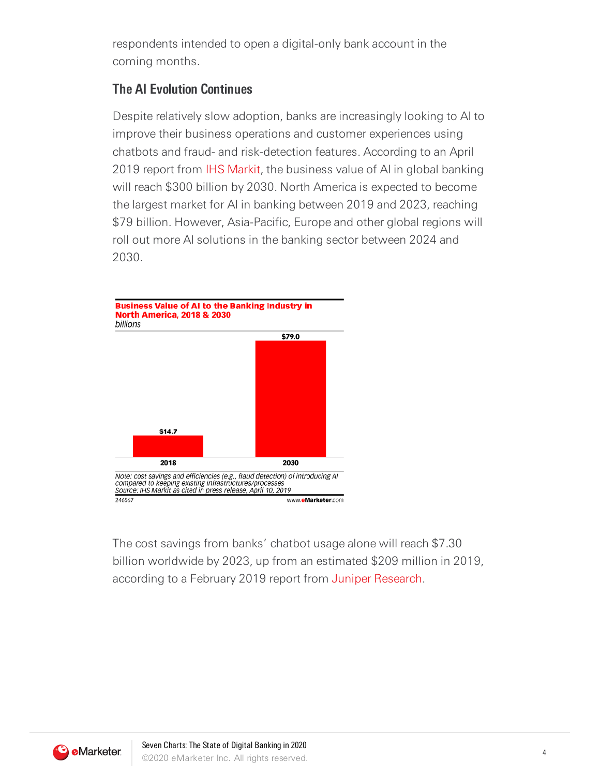respondents intended to open a digital-only bank account in the coming months.

# **The AI Evolution Continues**

Despite relatively slow adoption, banks are increasingly looking to AI to improve their business operations and customer experiences using chatbots and fraud- and risk-detection features. According to an April 2019 report from IHS [Markit,](https://ihsmarkit.com/index.html) the business value of AI in global banking will reach \$300 billion by 2030. North America is expected to become the largest market for AI in banking between 2019 and 2023, reaching \$79 billion. However, Asia-Pacific, Europe and other global regions will roll out more AI solutions in the banking sector between 2024 and 2030.



The cost savings from banks' chatbot usage alone will reach \$7.30 billion worldwide by 2023, up from an estimated \$209 million in 2019, according to a February 2019 report from Juniper [Research.](https://www.juniperresearch.com/home)

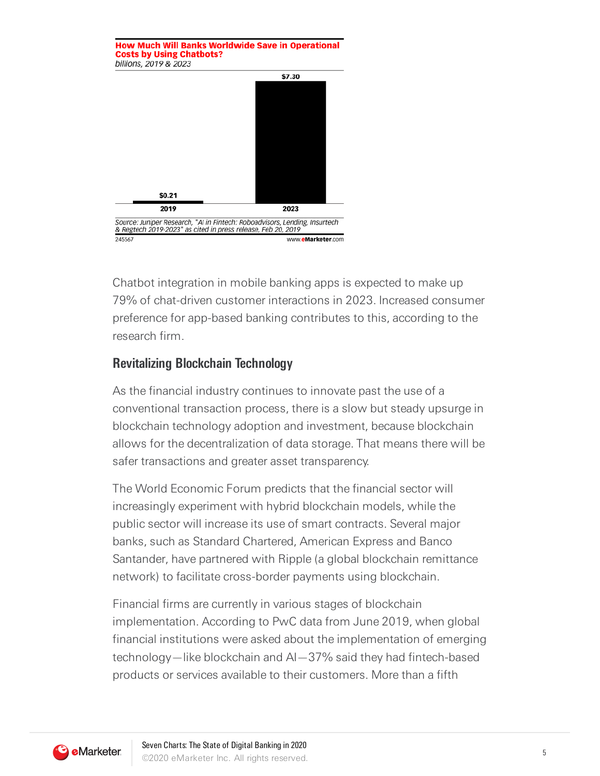**How Much Will Banks Worldwide Save in Operational Costs by Using Chatbots?** billions, 2019 & 2023



Chatbot integration in mobile banking apps is expected to make up 79% of chat-driven customer interactions in 2023. Increased consumer preference for app-based banking contributes to this, according to the research firm.

### **Revitalizing Blockchain Technology**

As the financial industry continues to innovate past the use of a conventional transaction process, there is a slow but steady upsurge in blockchain technology adoption and investment, because blockchain allows for the decentralization of data storage. That means there will be safer transactions and greater asset transparency.

The World Economic Forum predicts that the financial sector will increasingly experiment with hybrid blockchain models, while the public sector will increase its use of smart contracts. Several major banks, such as Standard Chartered, American Express and Banco Santander, have partnered with Ripple (a global blockchain remittance network) to facilitate cross-border payments using blockchain.

Financial firms are currently in various stages of blockchain implementation. According to PwC data from June 2019, when global financial institutions were asked about the implementation of emerging technology—like blockchain and AI—37% said they had fintech-based products or services available to their customers. More than a fifth

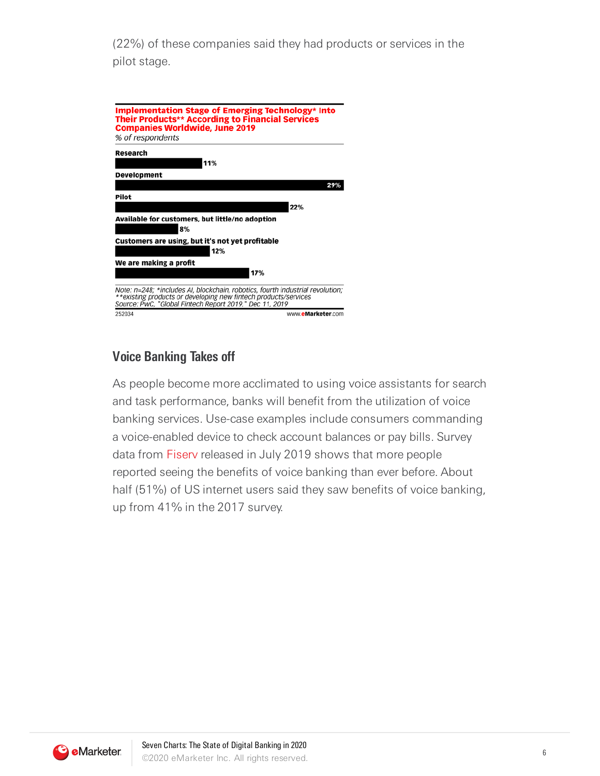(22%) of these companies said they had products or services in the pilot stage.

| <b>Implementation Stage of Emerging Technology* Into</b><br><b>Their Products** According to Financial Services</b><br><b>Companies Worldwide, June 2019</b><br>% of respondents                             |  |
|--------------------------------------------------------------------------------------------------------------------------------------------------------------------------------------------------------------|--|
| Research                                                                                                                                                                                                     |  |
| 11%                                                                                                                                                                                                          |  |
| Development                                                                                                                                                                                                  |  |
| 299                                                                                                                                                                                                          |  |
| Pilot                                                                                                                                                                                                        |  |
| 22%                                                                                                                                                                                                          |  |
| Available for customers, but little/no adoption<br>8%                                                                                                                                                        |  |
| Customers are using, but it's not yet profitable                                                                                                                                                             |  |
| 12%                                                                                                                                                                                                          |  |
| We are making a profit                                                                                                                                                                                       |  |
| 17%                                                                                                                                                                                                          |  |
| Note: n=248; *includes AI, blockchain, robotics, fourth industrial revolution;<br>**existing products or developing new fintech products/services<br>Source: PwC, "Global Fintech Report 2019," Dec 11, 2019 |  |
| 252034<br>www.eMarketer.com                                                                                                                                                                                  |  |

# **Voice Banking Takes off**

As people become more acclimated to using voice assistants for search and task performance, banks will benefit from the utilization of voice banking services. Use-case examples include consumers commanding a voice-enabled device to check account balances or pay bills. Survey data from [Fiserv](https://www.fiserv.com/) released in July 2019 shows that more people reported seeing the benefits of voice banking than ever before. About half (51%) of US internet users said they saw benefits of voice banking, up from 41% in the 2017 survey.

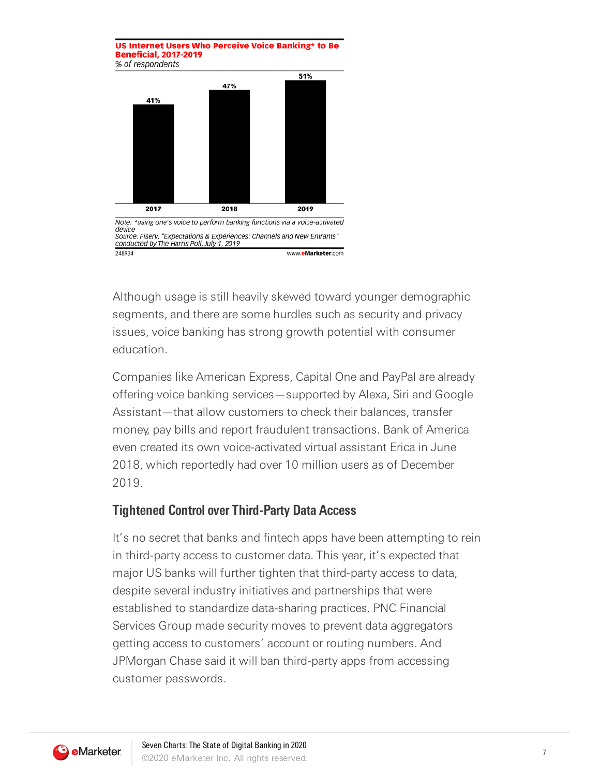US Internet Users Who Perceive Voice Banking\* to Be **Beneficial, 2017-2019** % of respondents



Although usage is still heavily skewed toward younger demographic segments, and there are some hurdles such as security and privacy issues, voice banking has strong growth potential with consumer education.

Companies like American Express, Capital One and PayPal are already offering voice banking services—supported by Alexa, Siri and Google Assistant—that allow customers to check their balances, transfer money, pay bills and report fraudulent transactions. Bank of America even created its own voice-activated virtual assistant Erica in June 2018, which reportedly had over 10 million users as of December 2019.

### **Tightened Control over Third-Party Data Access**

It's no secret that banks and fintech apps have been attempting to rein in third-party access to customer data. This year, it's expected that major US banks will further tighten that third-party access to data, despite several industry initiatives and partnerships that were established to standardize data-sharing practices. PNC Financial Services Group made security moves to prevent data aggregators getting access to customers' account or routing numbers. And JPMorgan Chase said it will ban third-party apps from accessing customer passwords.